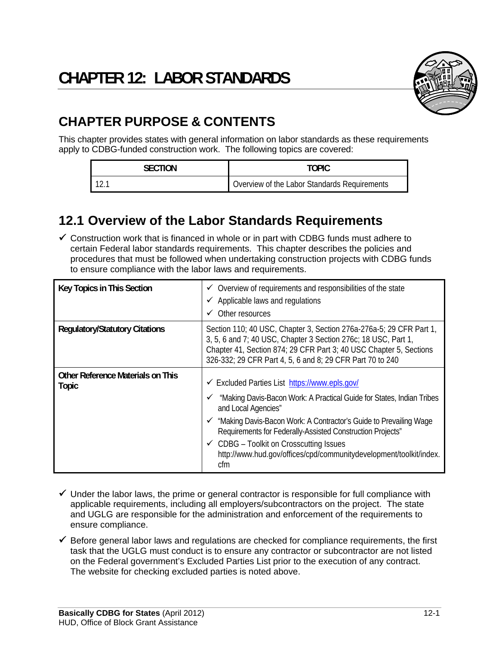

# **CHAPTER PURPOSE & CONTENTS**

This chapter provides states with general information on labor standards as these requirements apply to CDBG-funded construction work. The following topics are covered:

| <b>SECTION</b> | TOPIC                                        |
|----------------|----------------------------------------------|
| 12.1           | Overview of the Labor Standards Requirements |

## **12.1 Overview of the Labor Standards Requirements**

 $\checkmark$  Construction work that is financed in whole or in part with CDBG funds must adhere to certain Federal labor standards requirements. This chapter describes the policies and procedures that must be followed when undertaking construction projects with CDBG funds to ensure compliance with the labor laws and requirements.

| <b>Key Topics in This Section</b>                        | $\checkmark$ Overview of requirements and responsibilities of the state<br>$\checkmark$ Applicable laws and regulations<br>Other resources<br>✓                                                                                                                                                                                                                                                                               |
|----------------------------------------------------------|-------------------------------------------------------------------------------------------------------------------------------------------------------------------------------------------------------------------------------------------------------------------------------------------------------------------------------------------------------------------------------------------------------------------------------|
| <b>Regulatory/Statutory Citations</b>                    | Section 110; 40 USC, Chapter 3, Section 276a-276a-5; 29 CFR Part 1,<br>3, 5, 6 and 7; 40 USC, Chapter 3 Section 276c; 18 USC, Part 1,<br>Chapter 41, Section 874; 29 CFR Part 3; 40 USC Chapter 5, Sections<br>326-332; 29 CFR Part 4, 5, 6 and 8; 29 CFR Part 70 to 240                                                                                                                                                      |
| <b>Other Reference Materials on This</b><br><b>Topic</b> | <del></del> Excluded Parties List https://www.epls.gov/<br>"Making Davis-Bacon Work: A Practical Guide for States, Indian Tribes<br>and Local Agencies"<br>"Making Davis-Bacon Work: A Contractor's Guide to Prevailing Wage<br>Requirements for Federally-Assisted Construction Projects"<br>$\checkmark$ CDBG – Toolkit on Crosscutting Issues<br>http://www.hud.gov/offices/cpd/communitydevelopment/toolkit/index.<br>cfm |

- $\checkmark$  Under the labor laws, the prime or general contractor is responsible for full compliance with applicable requirements, including all employers/subcontractors on the project. The state and UGLG are responsible for the administration and enforcement of the requirements to ensure compliance.
- $\checkmark$  Before general labor laws and regulations are checked for compliance requirements, the first task that the UGLG must conduct is to ensure any contractor or subcontractor are not listed on the Federal government's Excluded Parties List prior to the execution of any contract. The website for checking excluded parties is noted above.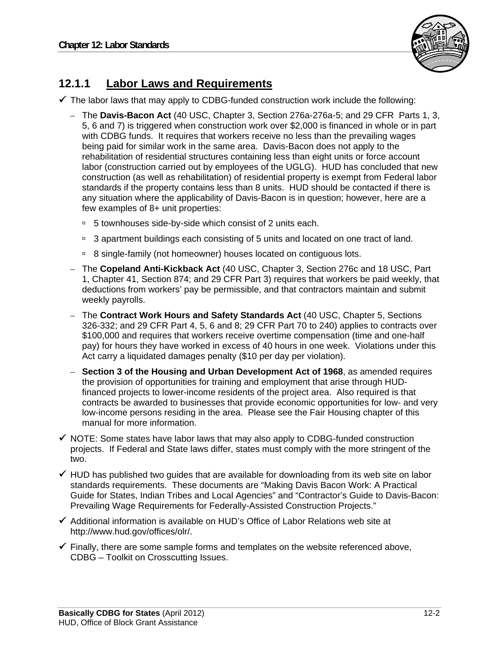

#### **12.1.1 Labor Laws and Requirements**

 $\checkmark$  The labor laws that may apply to CDBG-funded construction work include the following:

- The **Davis-Bacon Act** (40 USC, Chapter 3, Section 276a-276a-5; and 29 CFR Parts 1, 3, 5, 6 and 7) is triggered when construction work over \$2,000 is financed in whole or in part with CDBG funds. It requires that workers receive no less than the prevailing wages being paid for similar work in the same area. Davis-Bacon does not apply to the rehabilitation of residential structures containing less than eight units or force account labor (construction carried out by employees of the UGLG). HUD has concluded that new construction (as well as rehabilitation) of residential property is exempt from Federal labor standards if the property contains less than 8 units. HUD should be contacted if there is any situation where the applicability of Davis-Bacon is in question; however, here are a few examples of 8+ unit properties:
	- <sup>0</sup> 5 townhouses side-by-side which consist of 2 units each.
	- <sup>9</sup> 3 apartment buildings each consisting of 5 units and located on one tract of land.
	- <sup>n</sup> 8 single-family (not homeowner) houses located on contiguous lots.
- The **Copeland Anti-Kickback Act** (40 USC, Chapter 3, Section 276c and 18 USC, Part 1, Chapter 41, Section 874; and 29 CFR Part 3) requires that workers be paid weekly, that deductions from workers' pay be permissible, and that contractors maintain and submit weekly payrolls.
- The **Contract Work Hours and Safety Standards Act** (40 USC, Chapter 5, Sections 326-332; and 29 CFR Part 4, 5, 6 and 8; 29 CFR Part 70 to 240) applies to contracts over \$100,000 and requires that workers receive overtime compensation (time and one-half pay) for hours they have worked in excess of 40 hours in one week. Violations under this Act carry a liquidated damages penalty (\$10 per day per violation).
- **Section 3 of the Housing and Urban Development Act of 1968**, as amended requires the provision of opportunities for training and employment that arise through HUDfinanced projects to lower-income residents of the project area. Also required is that contracts be awarded to businesses that provide economic opportunities for low- and very low-income persons residing in the area. Please see the Fair Housing chapter of this manual for more information.
- $\checkmark$  NOTE: Some states have labor laws that may also apply to CDBG-funded construction projects. If Federal and State laws differ, states must comply with the more stringent of the two.
- $\checkmark$  HUD has published two guides that are available for downloading from its web site on labor standards requirements. These documents are "Making Davis Bacon Work: A Practical Guide for States, Indian Tribes and Local Agencies" and "Contractor's Guide to Davis-Bacon: Prevailing Wage Requirements for Federally-Assisted Construction Projects."
- $\checkmark$  Additional information is available on HUD's Office of Labor Relations web site at http://www.hud.gov/offices/olr/.
- $\checkmark$  Finally, there are some sample forms and templates on the website referenced above, CDBG – Toolkit on Crosscutting Issues.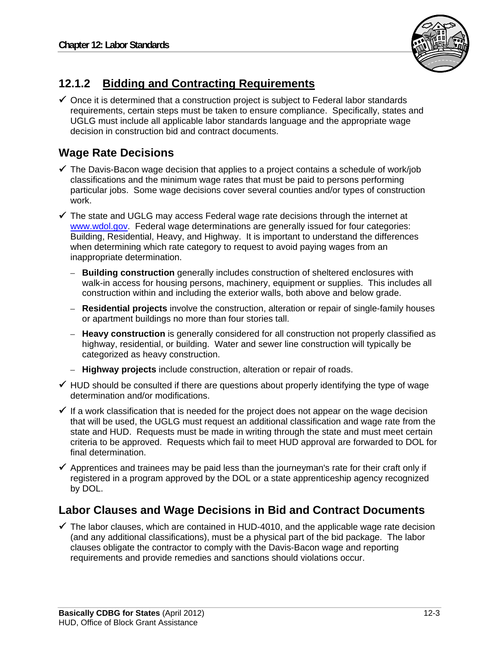

## **12.1.2 Bidding and Contracting Requirements**

 $\checkmark$  Once it is determined that a construction project is subject to Federal labor standards requirements, certain steps must be taken to ensure compliance. Specifically, states and UGLG must include all applicable labor standards language and the appropriate wage decision in construction bid and contract documents.

### **Wage Rate Decisions**

- $\checkmark$  The Davis-Bacon wage decision that applies to a project contains a schedule of work/job classifications and the minimum wage rates that must be paid to persons performing particular jobs. Some wage decisions cover several counties and/or types of construction work.
- $\checkmark$  The state and UGLG may access Federal wage rate decisions through the internet at www.wdol.gov. Federal wage determinations are generally issued for four categories: Building, Residential, Heavy, and Highway. It is important to understand the differences when determining which rate category to request to avoid paying wages from an inappropriate determination.
	- **Building construction** generally includes construction of sheltered enclosures with walk-in access for housing persons, machinery, equipment or supplies. This includes all construction within and including the exterior walls, both above and below grade.
	- **Residential projects** involve the construction, alteration or repair of single-family houses or apartment buildings no more than four stories tall.
	- **Heavy construction** is generally considered for all construction not properly classified as highway, residential, or building. Water and sewer line construction will typically be categorized as heavy construction.
	- **Highway projects** include construction, alteration or repair of roads.
- $\checkmark$  HUD should be consulted if there are questions about properly identifying the type of wage determination and/or modifications.
- $\checkmark$  If a work classification that is needed for the project does not appear on the wage decision that will be used, the UGLG must request an additional classification and wage rate from the state and HUD. Requests must be made in writing through the state and must meet certain criteria to be approved. Requests which fail to meet HUD approval are forwarded to DOL for final determination.
- $\checkmark$  Apprentices and trainees may be paid less than the journeyman's rate for their craft only if registered in a program approved by the DOL or a state apprenticeship agency recognized by DOL.

#### **Labor Clauses and Wage Decisions in Bid and Contract Documents**

 $\checkmark$  The labor clauses, which are contained in HUD-4010, and the applicable wage rate decision (and any additional classifications), must be a physical part of the bid package. The labor clauses obligate the contractor to comply with the Davis-Bacon wage and reporting requirements and provide remedies and sanctions should violations occur.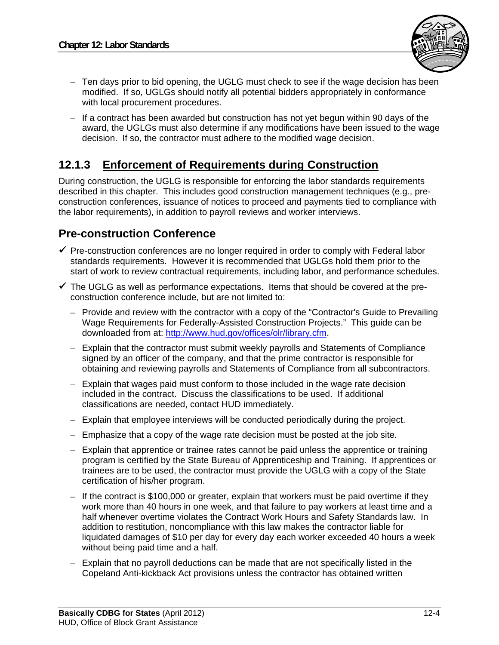

- Ten days prior to bid opening, the UGLG must check to see if the wage decision has been modified. If so, UGLGs should notify all potential bidders appropriately in conformance with local procurement procedures.
- If a contract has been awarded but construction has not yet begun within 90 days of the award, the UGLGs must also determine if any modifications have been issued to the wage decision. If so, the contractor must adhere to the modified wage decision.

### **12.1.3 Enforcement of Requirements during Construction**

During construction, the UGLG is responsible for enforcing the labor standards requirements described in this chapter. This includes good construction management techniques (e.g., preconstruction conferences, issuance of notices to proceed and payments tied to compliance with the labor requirements), in addition to payroll reviews and worker interviews.

#### **Pre-construction Conference**

- $\checkmark$  Pre-construction conferences are no longer required in order to comply with Federal labor standards requirements. However it is recommended that UGLGs hold them prior to the start of work to review contractual requirements, including labor, and performance schedules.
- $\checkmark$  The UGLG as well as performance expectations. Items that should be covered at the preconstruction conference include, but are not limited to:
	- Provide and review with the contractor with a copy of the "Contractor's Guide to Prevailing Wage Requirements for Federally-Assisted Construction Projects." This guide can be downloaded from at: http://www.hud.gov/offices/olr/library.cfm.
	- Explain that the contractor must submit weekly payrolls and Statements of Compliance signed by an officer of the company, and that the prime contractor is responsible for obtaining and reviewing payrolls and Statements of Compliance from all subcontractors.
	- Explain that wages paid must conform to those included in the wage rate decision included in the contract. Discuss the classifications to be used. If additional classifications are needed, contact HUD immediately.
	- Explain that employee interviews will be conducted periodically during the project.
	- Emphasize that a copy of the wage rate decision must be posted at the job site.
	- Explain that apprentice or trainee rates cannot be paid unless the apprentice or training program is certified by the State Bureau of Apprenticeship and Training. If apprentices or trainees are to be used, the contractor must provide the UGLG with a copy of the State certification of his/her program.
	- If the contract is \$100,000 or greater, explain that workers must be paid overtime if they work more than 40 hours in one week, and that failure to pay workers at least time and a half whenever overtime violates the Contract Work Hours and Safety Standards law. In addition to restitution, noncompliance with this law makes the contractor liable for liquidated damages of \$10 per day for every day each worker exceeded 40 hours a week without being paid time and a half.
	- Explain that no payroll deductions can be made that are not specifically listed in the Copeland Anti-kickback Act provisions unless the contractor has obtained written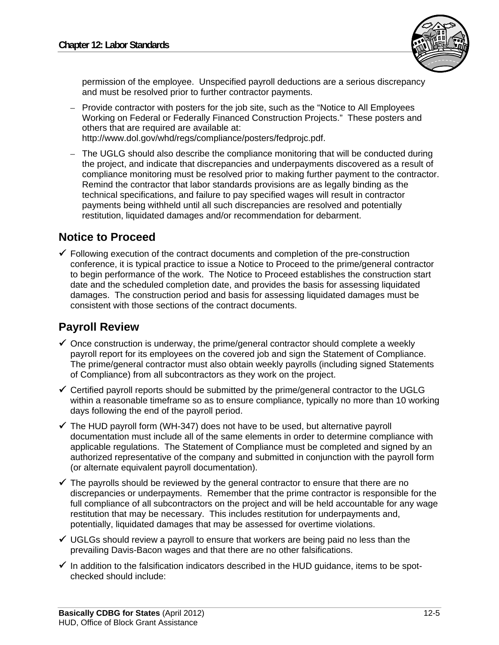

permission of the employee. Unspecified payroll deductions are a serious discrepancy and must be resolved prior to further contractor payments.

- Provide contractor with posters for the job site, such as the "Notice to All Employees Working on Federal or Federally Financed Construction Projects." These posters and others that are required are available at: http://www.dol.gov/whd/regs/compliance/posters/fedprojc.pdf.
- The UGLG should also describe the compliance monitoring that will be conducted during the project, and indicate that discrepancies and underpayments discovered as a result of compliance monitoring must be resolved prior to making further payment to the contractor. Remind the contractor that labor standards provisions are as legally binding as the technical specifications, and failure to pay specified wages will result in contractor payments being withheld until all such discrepancies are resolved and potentially restitution, liquidated damages and/or recommendation for debarment.

#### **Notice to Proceed**

 $\checkmark$  Following execution of the contract documents and completion of the pre-construction conference, it is typical practice to issue a Notice to Proceed to the prime/general contractor to begin performance of the work. The Notice to Proceed establishes the construction start date and the scheduled completion date, and provides the basis for assessing liquidated damages. The construction period and basis for assessing liquidated damages must be consistent with those sections of the contract documents.

#### **Payroll Review**

- $\checkmark$  Once construction is underway, the prime/general contractor should complete a weekly payroll report for its employees on the covered job and sign the Statement of Compliance. The prime/general contractor must also obtain weekly payrolls (including signed Statements of Compliance) from all subcontractors as they work on the project.
- $\checkmark$  Certified payroll reports should be submitted by the prime/general contractor to the UGLG within a reasonable timeframe so as to ensure compliance, typically no more than 10 working days following the end of the payroll period.
- $\checkmark$  The HUD payroll form (WH-347) does not have to be used, but alternative payroll documentation must include all of the same elements in order to determine compliance with applicable regulations. The Statement of Compliance must be completed and signed by an authorized representative of the company and submitted in conjunction with the payroll form (or alternate equivalent payroll documentation).
- $\checkmark$  The payrolls should be reviewed by the general contractor to ensure that there are no discrepancies or underpayments. Remember that the prime contractor is responsible for the full compliance of all subcontractors on the project and will be held accountable for any wage restitution that may be necessary. This includes restitution for underpayments and, potentially, liquidated damages that may be assessed for overtime violations.
- $\checkmark$  UGLGs should review a payroll to ensure that workers are being paid no less than the prevailing Davis-Bacon wages and that there are no other falsifications.
- $\checkmark$  In addition to the falsification indicators described in the HUD guidance, items to be spotchecked should include: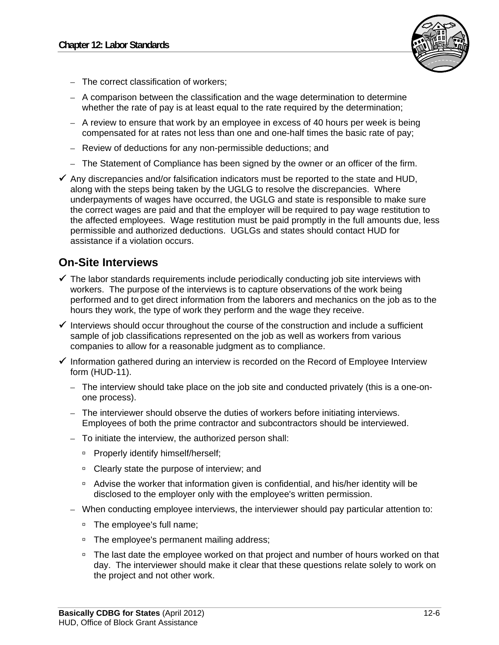

- The correct classification of workers;
- A comparison between the classification and the wage determination to determine whether the rate of pay is at least equal to the rate required by the determination;
- A review to ensure that work by an employee in excess of 40 hours per week is being compensated for at rates not less than one and one-half times the basic rate of pay;
- Review of deductions for any non-permissible deductions; and
- The Statement of Compliance has been signed by the owner or an officer of the firm.
- $\checkmark$  Any discrepancies and/or falsification indicators must be reported to the state and HUD, along with the steps being taken by the UGLG to resolve the discrepancies. Where underpayments of wages have occurred, the UGLG and state is responsible to make sure the correct wages are paid and that the employer will be required to pay wage restitution to the affected employees. Wage restitution must be paid promptly in the full amounts due, less permissible and authorized deductions. UGLGs and states should contact HUD for assistance if a violation occurs.

#### **On-Site Interviews**

- $\checkmark$  The labor standards requirements include periodically conducting job site interviews with workers. The purpose of the interviews is to capture observations of the work being performed and to get direct information from the laborers and mechanics on the job as to the hours they work, the type of work they perform and the wage they receive.
- $\checkmark$  Interviews should occur throughout the course of the construction and include a sufficient sample of job classifications represented on the job as well as workers from various companies to allow for a reasonable judgment as to compliance.
- $\checkmark$  Information gathered during an interview is recorded on the Record of Employee Interview form (HUD-11).
	- The interview should take place on the job site and conducted privately (this is a one-onone process).
	- The interviewer should observe the duties of workers before initiating interviews. Employees of both the prime contractor and subcontractors should be interviewed.
	- To initiate the interview, the authorized person shall:
		- □ Properly identify himself/herself;
		- □ Clearly state the purpose of interview; and
		- <sup>n</sup> Advise the worker that information given is confidential, and his/her identity will be disclosed to the employer only with the employee's written permission.
	- When conducting employee interviews, the interviewer should pay particular attention to:
		- <sup>o</sup> The employee's full name;
		- □ The employee's permanent mailing address;
		- <sup>n</sup> The last date the employee worked on that project and number of hours worked on that day. The interviewer should make it clear that these questions relate solely to work on the project and not other work.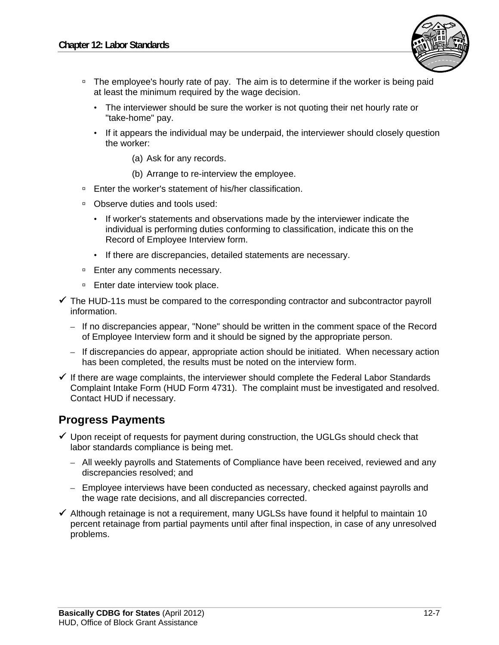

- □ The employee's hourly rate of pay. The aim is to determine if the worker is being paid at least the minimum required by the wage decision.
	- The interviewer should be sure the worker is not quoting their net hourly rate or "take-home" pay.
	- If it appears the individual may be underpaid, the interviewer should closely question the worker:
		- (a) Ask for any records.
		- (b) Arrange to re-interview the employee.
- □ Enter the worker's statement of his/her classification.
- □ Observe duties and tools used:
	- If worker's statements and observations made by the interviewer indicate the individual is performing duties conforming to classification, indicate this on the Record of Employee Interview form.
	- If there are discrepancies, detailed statements are necessary.
- □ Enter any comments necessary.
- □ Enter date interview took place.
- $\checkmark$  The HUD-11s must be compared to the corresponding contractor and subcontractor payroll information.
	- If no discrepancies appear, "None" should be written in the comment space of the Record of Employee Interview form and it should be signed by the appropriate person.
	- If discrepancies do appear, appropriate action should be initiated. When necessary action has been completed, the results must be noted on the interview form.
- $\checkmark$  If there are wage complaints, the interviewer should complete the Federal Labor Standards Complaint Intake Form (HUD Form 4731). The complaint must be investigated and resolved. Contact HUD if necessary.

#### **Progress Payments**

- $\checkmark$  Upon receipt of requests for payment during construction, the UGLGs should check that labor standards compliance is being met.
	- All weekly payrolls and Statements of Compliance have been received, reviewed and any discrepancies resolved; and
	- Employee interviews have been conducted as necessary, checked against payrolls and the wage rate decisions, and all discrepancies corrected.
- $\checkmark$  Although retainage is not a requirement, many UGLSs have found it helpful to maintain 10 percent retainage from partial payments until after final inspection, in case of any unresolved problems.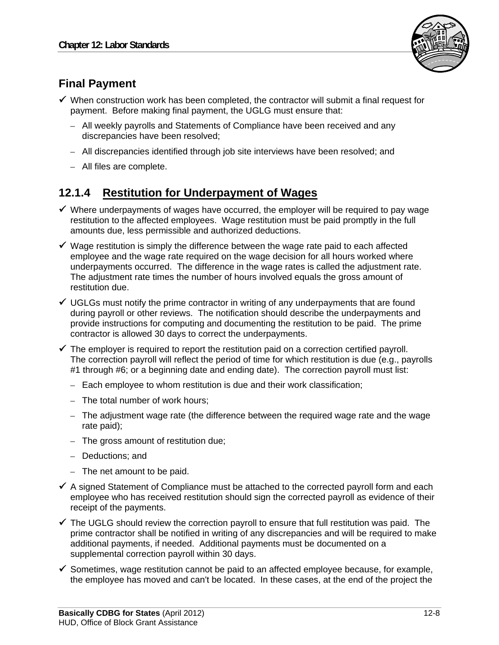

## **Final Payment**

- $\checkmark$  When construction work has been completed, the contractor will submit a final request for payment. Before making final payment, the UGLG must ensure that:
	- All weekly payrolls and Statements of Compliance have been received and any discrepancies have been resolved;
	- All discrepancies identified through job site interviews have been resolved; and
	- All files are complete.

### **12.1.4 Restitution for Underpayment of Wages**

- $\checkmark$  Where underpayments of wages have occurred, the employer will be required to pay wage restitution to the affected employees. Wage restitution must be paid promptly in the full amounts due, less permissible and authorized deductions.
- $\checkmark$  Wage restitution is simply the difference between the wage rate paid to each affected employee and the wage rate required on the wage decision for all hours worked where underpayments occurred. The difference in the wage rates is called the adjustment rate. The adjustment rate times the number of hours involved equals the gross amount of restitution due.
- $\checkmark$  UGLGs must notify the prime contractor in writing of any underpayments that are found during payroll or other reviews. The notification should describe the underpayments and provide instructions for computing and documenting the restitution to be paid. The prime contractor is allowed 30 days to correct the underpayments.
- $\checkmark$  The employer is required to report the restitution paid on a correction certified payroll. The correction payroll will reflect the period of time for which restitution is due (e.g., payrolls #1 through #6; or a beginning date and ending date). The correction payroll must list:
	- Each employee to whom restitution is due and their work classification;
	- The total number of work hours;
	- The adjustment wage rate (the difference between the required wage rate and the wage rate paid);
	- The gross amount of restitution due;
	- Deductions; and
	- The net amount to be paid.
- $\checkmark$  A signed Statement of Compliance must be attached to the corrected payroll form and each employee who has received restitution should sign the corrected payroll as evidence of their receipt of the payments.
- $\checkmark$  The UGLG should review the correction payroll to ensure that full restitution was paid. The prime contractor shall be notified in writing of any discrepancies and will be required to make additional payments, if needed. Additional payments must be documented on a supplemental correction payroll within 30 days.
- $\checkmark$  Sometimes, wage restitution cannot be paid to an affected employee because, for example, the employee has moved and can't be located. In these cases, at the end of the project the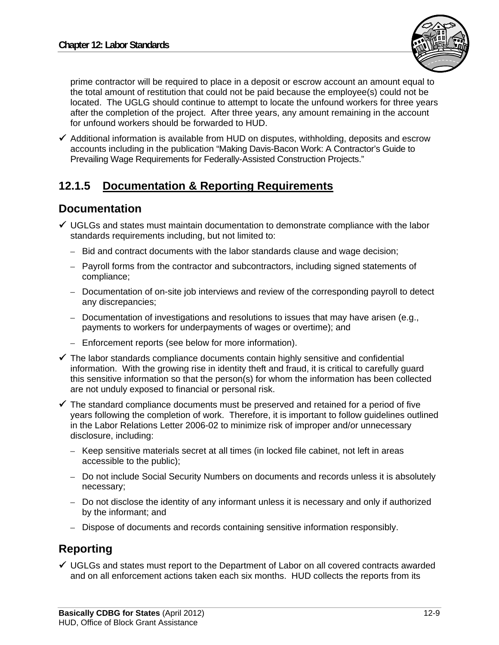

prime contractor will be required to place in a deposit or escrow account an amount equal to the total amount of restitution that could not be paid because the employee(s) could not be located. The UGLG should continue to attempt to locate the unfound workers for three years after the completion of the project. After three years, any amount remaining in the account for unfound workers should be forwarded to HUD.

 $\checkmark$  Additional information is available from HUD on disputes, withholding, deposits and escrow accounts including in the publication "Making Davis-Bacon Work: A Contractor's Guide to Prevailing Wage Requirements for Federally-Assisted Construction Projects."

### **12.1.5 Documentation & Reporting Requirements**

#### **Documentation**

- $\checkmark$  UGLGs and states must maintain documentation to demonstrate compliance with the labor standards requirements including, but not limited to:
	- Bid and contract documents with the labor standards clause and wage decision;
	- Payroll forms from the contractor and subcontractors, including signed statements of compliance;
	- Documentation of on-site job interviews and review of the corresponding payroll to detect any discrepancies;
	- Documentation of investigations and resolutions to issues that may have arisen (e.g., payments to workers for underpayments of wages or overtime); and
	- Enforcement reports (see below for more information).
- $\checkmark$  The labor standards compliance documents contain highly sensitive and confidential information. With the growing rise in identity theft and fraud, it is critical to carefully guard this sensitive information so that the person(s) for whom the information has been collected are not unduly exposed to financial or personal risk.
- $\checkmark$  The standard compliance documents must be preserved and retained for a period of five years following the completion of work. Therefore, it is important to follow guidelines outlined in the Labor Relations Letter 2006-02 to minimize risk of improper and/or unnecessary disclosure, including:
	- Keep sensitive materials secret at all times (in locked file cabinet, not left in areas accessible to the public);
	- Do not include Social Security Numbers on documents and records unless it is absolutely necessary;
	- Do not disclose the identity of any informant unless it is necessary and only if authorized by the informant; and
	- Dispose of documents and records containing sensitive information responsibly.

#### **Reporting**

 $\checkmark$  UGLGs and states must report to the Department of Labor on all covered contracts awarded and on all enforcement actions taken each six months. HUD collects the reports from its